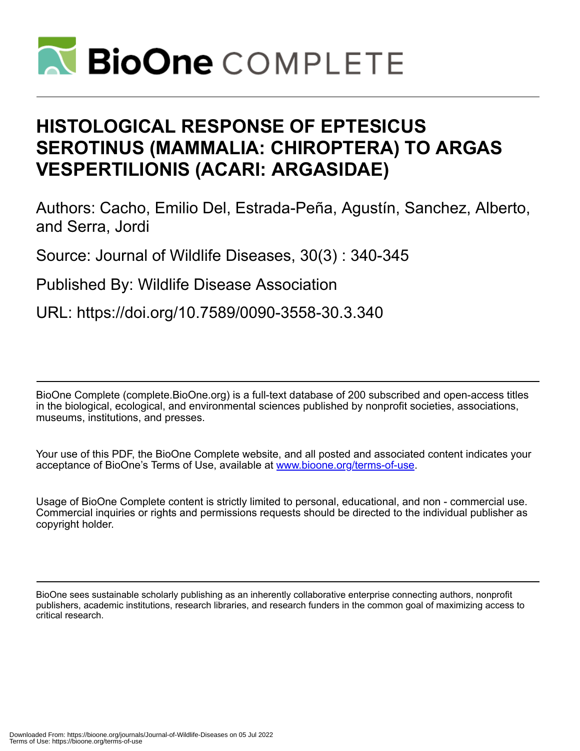

# **HISTOLOGICAL RESPONSE OF EPTESICUS SEROTINUS (MAMMALIA: CHIROPTERA) TO ARGAS VESPERTILIONIS (ACARI: ARGASIDAE)**

Authors: Cacho, Emilio Del, Estrada-Peña, Agustín, Sanchez, Alberto, and Serra, Jordi

Source: Journal of Wildlife Diseases, 30(3) : 340-345

Published By: Wildlife Disease Association

URL: https://doi.org/10.7589/0090-3558-30.3.340

BioOne Complete (complete.BioOne.org) is a full-text database of 200 subscribed and open-access titles in the biological, ecological, and environmental sciences published by nonprofit societies, associations, museums, institutions, and presses.

Your use of this PDF, the BioOne Complete website, and all posted and associated content indicates your acceptance of BioOne's Terms of Use, available at www.bioone.org/terms-of-use.

Usage of BioOne Complete content is strictly limited to personal, educational, and non - commercial use. Commercial inquiries or rights and permissions requests should be directed to the individual publisher as copyright holder.

BioOne sees sustainable scholarly publishing as an inherently collaborative enterprise connecting authors, nonprofit publishers, academic institutions, research libraries, and research funders in the common goal of maximizing access to critical research.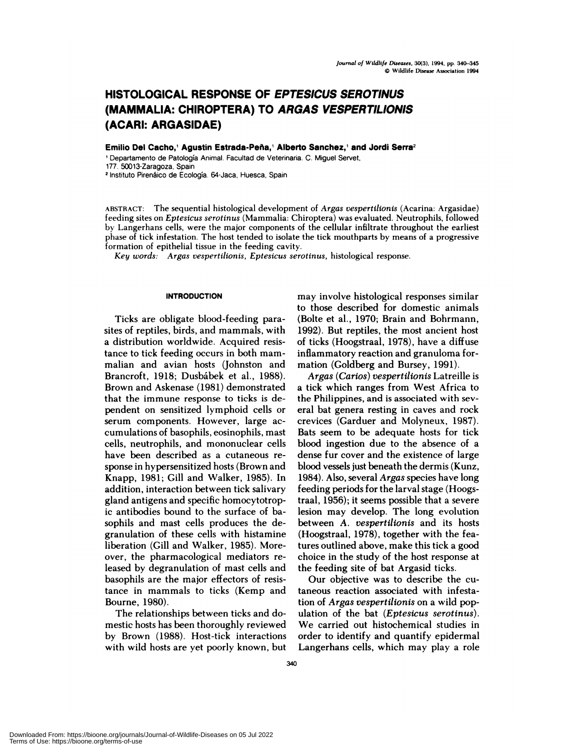# **HISTOLOGICAL RESPONSE OF EPTESICUS SEROTINUS (MAMMALIA: CHIROPTERA) TO ARGAS VESPER TILIONIS (ACARI: ARGASIDAE)**

 $Emilio Del Cache, 'Agustin Estrada-Peña,' Alberto Sanchez,' and Jordi Serra<sup>2</sup>$ 

'Departamento de Patologia Animal. Facultad de Veterinaria. C. Miguel Servet, 177. 50013'Zaragoza. Spain <sup>2</sup> Instituto Pirenáico de Ecología. 64-Jaca, Huesca, Spain

**ABSTRACT:** The sequential histological development of *Argas vespertilionis* (Acarina: Argasidae) feeding sites on *Eptesicus serotinus* (Mammalia: Chiroptera) was evaluated. Neutrophils, followed by Langerhans cells, were the major components of the cellular infiltrate throughout the earliest phase of tick infestation. The host tended to isolate the tick mouthparts by means of a progressive formation of epithelial tissue in the feeding cavity.

*Key words:* Argas *vespertilionis, Eptesicus serotinus,* histological response.

## **INTRODUCTION**

Ticks are obligate blood-feeding parasites of reptiles, birds, and mammals, with a distribution worldwide. Acquired resistance to tick feeding occurs in both mam malian and avian hosts (Johnston and Brancroft, 1918; Dusbábek et al., 1988). Brown and Askenase (1981) demonstrated that the immune response to ticks is dependent on sensitized lymphoid cells or serum components. However, large ac cum ulations of basophils, eosinophils, mast cells, neutrophils, and mononuclear cells have been described as a cutaneous re sponse in hypersensitized hosts (Brown and Knapp, 1981; Gill and Walker, 1985). In addition, interaction between tick salivary gland antigens and specific homocytotropic antibodies bound to the surface of hasophils and mast cells produces the degranulation of these cells with histamine liberation (Gill and Walker, 1985). Moreover, the pharmacological mediators released by degranulation of mast cells and basophils are the major effectors of resistance in mammals to ticks (Kemp and Bourne, 1980).

The relationships between ticks and domestic hosts has been thoroughly reviewed by Brown (1988). Host-tick interactions with wild hosts are yet poorly known, but

may involve histological responses similar to those described for domestic animals (Bolte et a!., 1970; Brain and Bohrmann, 1992). But reptiles, the most ancient host of ticks (Hoogstraal, 1978), have a diffuse inflammatory reaction and granuloma formation (Goldberg and Bursey, 1991).

*Argas (Carios) vespertilionis* Latreille is a tick which ranges from West Africa to the Philippines, and is associated with several bat genera resting in caves and rock crevices (Garduer and Molyneux, 1987). Bats seem to be adequate hosts for tick blood ingestion due to the absence of a dense fur cover and the existence of large blood vessels just beneath the dermis (Kunz, 1984). Also, several *Argas* species have long feeding periods for the larval stage (Hoogstraal, 1956); it seems possible that a severe lesion may develop. The long evolution between A. *vespertilionis* and its hosts (Hoogstraal, 1978), together with the features outlined above, make this tick a good choice in the study of the host response at the feeding site of bat Argasid ticks.

Our objective was to describe the cutaneous reaction associated with infestation of *Argas vespertilionis* on a wild population of the bat *(Eptesicus serotinus).* We carried out histochemical studies in order to identify and quantify epidermal Langerhans cells, which may play a role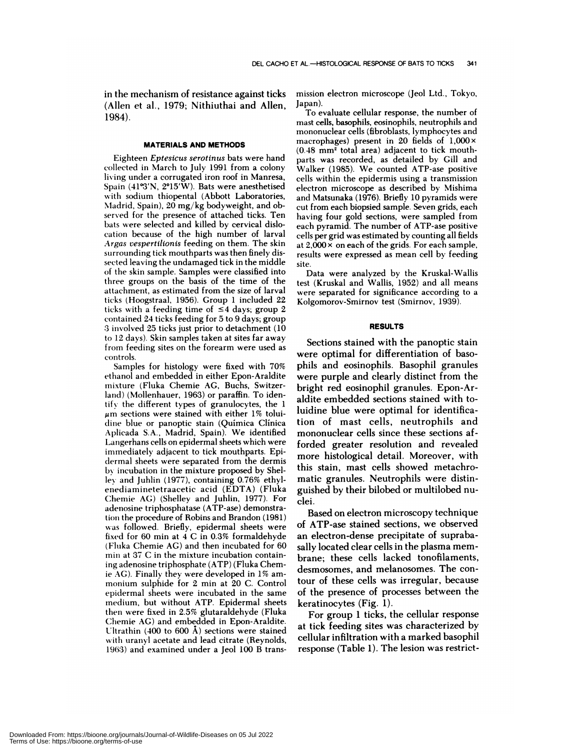in the mechanism of resistance against ticks (Allen et al., 1979; Nithiuthai and Allen, 1984).

#### **MATERIALS AND METHODS**

Eighteen *Eptesicus serotinus* bats were hand collected in March to July 1991 from a colony living under a corrugated iron roof in Manresa, Spain (41°3'N, 2°15'W). Bats were anesthetised with sodium thiopental (Abbott Laboratories, Madrid, Spain), 20 mg/kg bodyweight, and observed for the presence of attached ticks. Ten bats were selected and killed by cervical dislocation because of the high number of larval *Argas vespertilionis* feeding on them. The skin surrounding tick mouthparts was then finely dissected leaving the undamaged tick in the middle of the skin sample. Samples were classified into three groups on the basis of the time of the attachment, as estimated from the size of larval ticks (Hoogstraal, 1956). Group 1 included 22 ticks with a feeding time of  $\leq 4$  days; group 2 contained 24 ticks feeding for 5 to 9 days; group 3 involved 25 ticks just prior to detachment (10 to 12 days). Skin samples taken at sites far away from feeding sites on the forearm were used as controls.

Samples for histology were fixed with 70% ethanol and embedded in either Epon-Araldite mixture (Fluka Chemie AG, Buchs, Switzerland) (Mollenhauer, 1963) or paraffin. To identify the different types of granulocytes, the 1  $\mu$ m sections were stained with either 1% toluidine blue or panoptic stain (Quimica Clinica Aplicada S.A., Madrid, Spain). We identified Langerhans cells on epidermal sheets which were immediately adjacent to tick mouthparts. Epi dermal sheets were separated from the dermis by incubation in the mixture proposed by Shelley and Juhlin (1977), containing 0.76% ethylenediaminetetraacetic acid (EDTA) (Fluka Chemie AG) (Shelley and Juhlin, 1977). For adenosine triphosphatase (ATP-ase) demonstration the procedure of Robins and Brandon (1981) was followed. Briefly, epidermal sheets were fixed for 60 mm at 4 C in 0.3% formaldehyde (Fluka Chemie AG) and then incubated for 60 min at 37 C in the mixture incubation containing adenosine triphosphate (ATP) (Fluka Chemie AG). Finally they were developed in 1% am monium sulphide for 2 min at 20 C. Control epidermal sheets were incubated in the same medium, but without ATP. Epidermal sheets then were fixed in 2.5% glutaraldehyde (Fluka Chemie AG) and embedded in Epon-Araldite. Ultrathin (400 to 600 A) sections were stained with uranyl acetate and lead citrate (Reynolds, 1963) and examined under a Jeol 100 B transmission electron microscope (Jeol Ltd., Tokyo, Japan).

To evaluate cellular response, the number of mast cells, basophils, eosinophils, neutrophils and mononuclear cells (fibroblasts, lymphocytes and macrophages) present in 20 fields of  $1,000 \times$  $(0.48 \text{ mm}^2 \text{ total area})$  adjacent to tick mouthparts was recorded, as detailed by Gill and Walker (1985). We counted ATP-ase positive cells within the epidermis using a transmission electron microscope as described by Mishima and Matsunaka (1976). Briefly 10 pyramids were cut from each biopsied sample. Seven grids, each having four gold sections, were sampled from each pyramid. The number of ATP-ase positive cells per grid was estimated by counting all fields at  $2,000 \times$  on each of the grids. For each sample, results were expressed as mean cell by feeding site.

Data were analyzed by the Kruskal-Wallis test (Kruskal and Wallis, 1952) and all means were separated for significance according to a Kolgomorov-Smirnov test (Smirnov, 1939).

#### **RESULTS**

Sections stained with the panoptic stain were optimal for differentiation of basophils and eosinophils. Basophil granules were purple and clearly distinct from the bright red eosinophil granules. Epon-Araldite embedded sections stained with toluidine blue were optimal for identification of mast cells, neutrophils and mononuclear cells since these sections afforded greater resolution and revealed more histological detail. Moreover, with this stain, mast cells showed metachromatic granules. Neutrophils were distinguished by their bibbed or multibobed nu clei.

Based on electron microscopy technique of ATP-ase stained sections, we observed an electron-dense precipitate of suprabasally located clear cells in the plasma mem brane; these cells lacked tonofilaments, desmosomes, and melanosomes. The contour of these cells was irregular, because of the presence of processes between the keratinocytes (Fig. 1).

For group 1 ticks, the cellular response at tick feeding sites was characterized by cellular infiltration with a marked basophil response (Table 1). The lesion was restrict-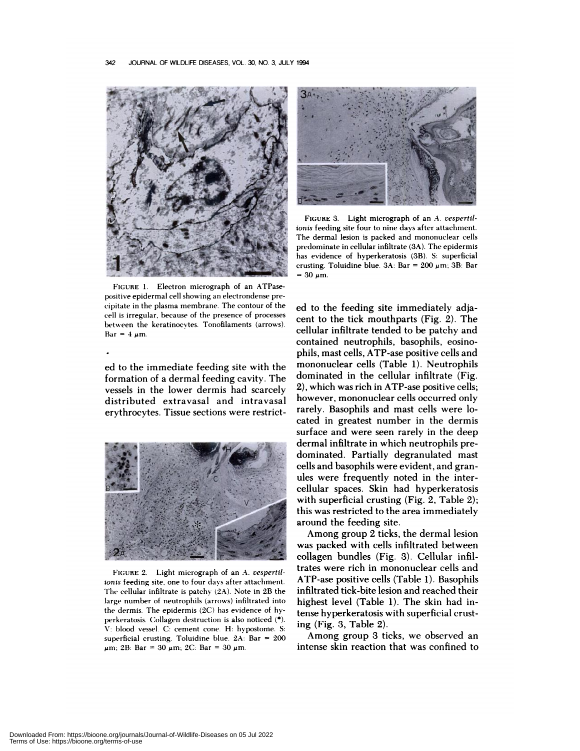

**FIGURE** 1. Electron micrograph of an ATPase positive epidermal cell showing an electrondense pre cipitate in the plasma membrane. The contour of the cell is irregular, because of the presence of processes between the keratinocvtes. Tonofilaments (arrows).  $Bar = 4 \mu m$ .

ed to the immediate feeding site with the formation of a dermal feeding cavity. The vessels in the lower dermis had scarcely distributed extravasal and intravasal erythrocytes. Tissue sections were restrict-



**FIGURE** 2. Light micrograph of an A. *vespertil*ionis feeding site, one to four days after attachment. The cellular infiltrate is patchy (2A). Note in 2B the large number of neutrophils (arrows) infiltrated into the dermis. The epidermis (2C) has evidence of hyperkeratosis. Collagen destruction is also noticed (\*), V: blood vessel. C: cement cone. H: hypostome. 5: superficial crusting. Toluidine blue.  $2A$ : Bar = 200  $\mu$ m; 2B: Bar = 30  $\mu$ m; 2C: Bar = 30  $\mu$ m.



FIGURE 3. Light micrograph of an A. vespertil*ionis* feeding site four to nine days after attachment. The dermal lesion is packed and mononuclear cells predominate in cellular infiltrate (3A). The epidermis has evidence of hyperkeratosis (3B). S: superficial crusting. Toluidine blue.  $3A: Bar = 200 \ \mu m$ ;  $3B: Bar$  $= 30 \mu m$ .

ed to the feeding site immediately adjacent to the tick mouthparts (Fig. 2). The cellular infiltrate tended to be patchy and contained neutrophils, basophils, eosinophils, mast cells, ATP-ase positive cells and mononuclear cells (Table 1). Neutrophils dominated in the cellular infiltrate (Fig. 2), which was rich in ATP-ase positive cells; however, mononuclear cells occurred only rarely. Basophils and mast cells were located in greatest number in the dermis surface and were seen rarely in the deep dermal infiltrate in which neutrophils predominated. Partially degranulated mast cells and basophils were evident, and granules were frequently noted in the intercellular spaces. Skin had hyperkeratosis with superficial crusting (Fig. 2, Table 2); this was restricted to the area immediately around the feeding site.

Among group 2 ticks, the dermal lesion was packed with cells infiltrated between collagen bundles (Fig. 3). Cellular infiltrates were rich in mononuclear cells and ATP-ase positive cells (Table 1). Basophils infiltrated tick-bite lesion and reached their highest level (Table 1). The skin had intense hyperkeratosis with superficial crusting (Fig. 3, Table 2).

Among group 3 ticks, we observed an intense skin reaction that was confined to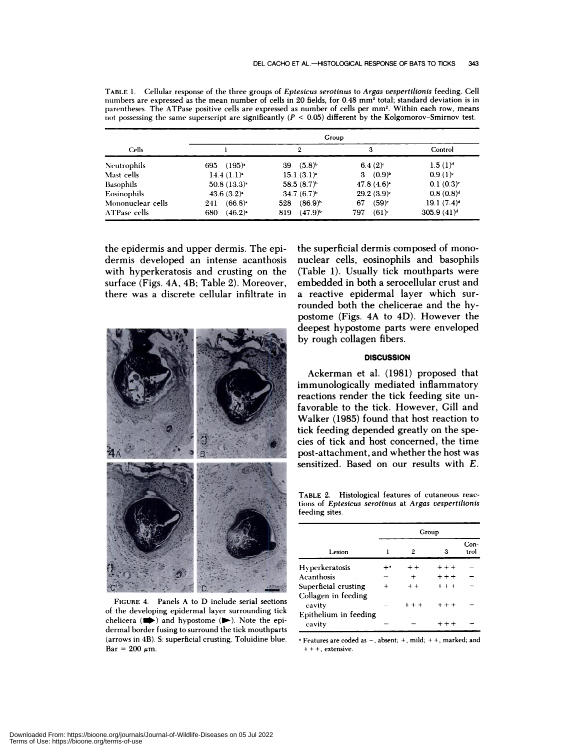| Cells              | Group                        |                          |                          |               |  |  |
|--------------------|------------------------------|--------------------------|--------------------------|---------------|--|--|
|                    |                              | 2                        | 3                        | Control       |  |  |
| <b>Neutrophils</b> | $(195)$ <sup>*</sup><br>695  | $(5.8)^{b}$<br>39        | $6.4(2)^c$               | $1.5(1)^d$    |  |  |
| Mast cells         | $14.4(1.1)$ <sup>*</sup>     | $15.1(3.1)$ <sup>*</sup> | 3 $(0.9)^{b}$            | $0.9(1)^c$    |  |  |
| <b>Basophils</b>   | $50.8(13.3)$ <sup>*</sup>    | $58.5(8.7)^{b}$          | $47.8(4.6)$ <sup>*</sup> | $0.1(0.3)^c$  |  |  |
| Eosinophils        | $43.6(3.2)$ <sup>*</sup>     | $34.7(6.7)^{b}$          | $29.2(3.9)^c$            | $0.8(0.8)^d$  |  |  |
| Mononuclear cells  | $(66.8)$ <sup>*</sup><br>241 | $(86.9)^{b}$<br>528      | $(59)^c$<br>67           | $19.1(7.4)^d$ |  |  |
| ATPase cells       | $(46.2)^*$<br>680            | $(47.9)^{b}$<br>819      | $(61)^c$<br>797          | $305.9(41)^d$ |  |  |

**TABLE** 1.Cellular response of the three groups of *Eptesicus serotinus* to *Argas vespertilionis* feeding. Cell numbers are expressed as the mean number of cells in 20 fields, for 0.48 mm2 total; standard deviation is in parentheses. The ATPase positive cells are expressed as number of cells per mm<sup>2</sup>. Within each row, means not possessing the same superscript are significantly *(P* **<sup>&</sup>lt;** 0.05) different by the Kolgomorov-Smirnov test.

the epidermis and upper dermis. The epidermis developed an intense acanthosis with hyperkeratosis and crusting on the surface (Figs. 4A, 4B; Table 2). Moreover, there was a discrete cellular infiltrate in



**FIGURE** 4. Panels A to D include serial sections of the developing epidermal layer surrounding tick chelicera  $(\Rightarrow)$  and hypostome  $(\Rightarrow)$ . Note the epidermal border fusing to surround the tick mouthparts (arrows in 4B). 5: superficial crusting. Toluidine blue.  $Bar = 200 \mu m$ .

the superficial dermis composed of mono nuclear cells, eosinophils and basophils (Table 1). Usually tick mouthparts were embedded in both a serocellular crust and a reactive epiderma! layer which surrounded both the chelicerae and the hypostome (Figs. 4A to 4D). However the deepest hypostome parts were enveloped by rough collagen fibers.

## **DISCUSSION**

Ackerman et al. (1981) proposed that immunologically mediated inflammatory reactions render the tick feeding site unfavorable to the tick. However, Gill and Walker (1985) found that host reaction to tick feeding depended greatly on the species of tick and host concerned, the time post-attachment, and whether the host was sensitized. Based on our results with *E.*

TABLE 2. Histological features of cutaneous reactions of *Eptesicus serotinus* at *Argas vespertilionis* feeding sites.

|                                             | Group |         |         |              |
|---------------------------------------------|-------|---------|---------|--------------|
| Lesion                                      | 1     | 2       | 3       | Con-<br>trol |
| Hyperkeratosis                              |       | $+ +$   | $***$   |              |
| Acanthosis                                  |       | $\div$  | $***$   |              |
| Superficial crusting<br>Collagen in feeding |       | $+ +$   | $+ + +$ |              |
| cavity                                      |       | $+ + +$ | $+ + +$ |              |
| Epithelium in feeding<br>cavity             |       |         | $++$    |              |

'Features are coded as **-,**absent; **+,** mild; **+ +,** marked; and **+ + +,** extensive.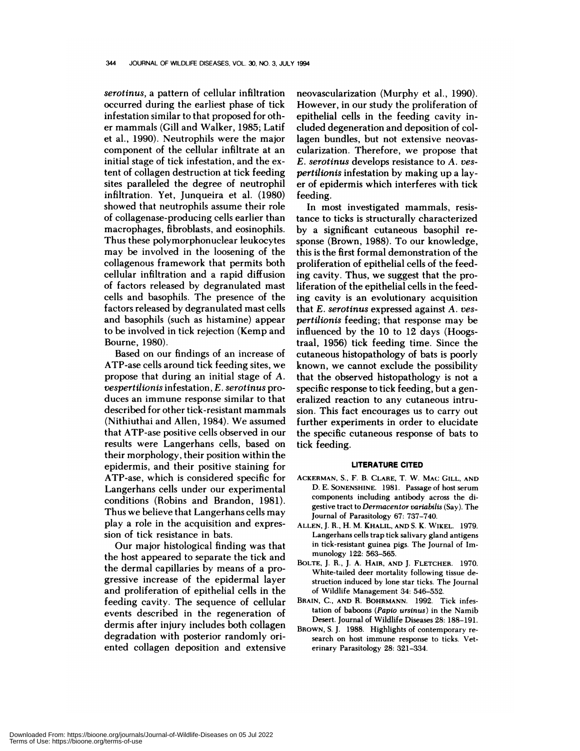*serotinus,* a pattern of cellular infiltration occurred during the earliest phase of tick infestation similar to that proposed for oth er mammals (Gill and Walker, 1985; Latif et al., 1990). Neutrophils were the major component of the cellular infiltrate at an initial stage of tick infestation, and the extent of collagen destruction at tick feeding sites paralleled the degree of neutrophil infiltration. Yet, Junqueira et al. (1980) showed that neutrophils assume their role of collagenase-producing cells earlier than macrophages, fibroblasts, and eosinophils. Thus these polymorphonuclear leukocytes may be involved in the loosening of the collagenous framework that permits both cellular infiltration and a rapid diffusion of factors released by degranulated mast cells and basophils. The presence of the factors released by degranulated mast cells and basophils (such as histamine) appear to be involved in tick rejection (Kemp and Bourne, 1980).

Based on our findings of an increase of ATP-ase cells around tick feeding sites, we propose that during an initial stage of *A. vespertilionis* infestation, *E. serotinus* produces an immune response similar to that described for other tick-resistant mammals (Nithiuthai and Allen, 1984). We assumed that ATP-ase positive cells observed in our results were Langerhans cells, based on their morphology, their position within the epidermis, and their positive staining for ATP-ase, which is considered specific for Langerhans cells under our experimental conditions (Robins and Brandon, 1981). Thus we believe that Langerhans cells may play a role in the acquisition and expression of tick resistance in bats.

Our major histological finding was that the host appeared to separate the tick and the dermal capillaries by means of a progressive increase of the epidermal layer and proliferation of epithelial cells in the feeding cavity. The sequence of cellular events described in the regeneration of dermis after injury includes both collagen degradation with posterior randomly oriented collagen deposition and extensive neovascularization (Murphy et al., 1990). However, in our study the proliferation of epithelial cells in the feeding cavity included degeneration and deposition of collagen bundles, but not extensive neovas cularization. Therefore, we propose that *E. serotinus* develops resistance to *A. yespertilionis* infestation by making up a lay er of epidermis which interferes with tick feeding.

In most investigated mammals, resistance to ticks is structurally characterized by a significant cutaneous basophil re sponse (Brown, 1988). To our knowledge, this is the first formal demonstration of the proliferation of epithelial cells of the feeding cavity. Thus, we suggest that the pro liferation of the epithelial cells in the feeding cavity is an evolutionary acquisition that *E. serotinus* expressed against *A. yespertilionis* feeding; that response may be influenced by the 10 to 12 days (Hoogstraal, 1956) tick feeding time. Since the cutaneous histopathobogy of bats is poorly known, we cannot exclude the possibility that the observed histopathology is not a specific response to tick feeding, but a generalized reaction to any cutaneous intrusion. This fact encourages us to carry out further experiments in order to elucidate the specific cutaneous response of bats to tick feeding.

#### **LITERATURE CITED**

- **ACKERMAN,** S., **F. B. CLARE,** T. W. **MAC GILL, AND D.** E. SONENSHINE. 1981. Passage of host serum components including antibody across the digestive tract to *Dermacentor variabilis* (Say). The Journal of Parasitology 67: 737-740.
- **ALLEN,** J.**R., H.** M. **KHALIL, AND** S. K. **WIKEL.** 1979. **Langerhans** cells trap tick salivary gland antigens in tick-resistant guinea pigs. The Journal of Im munology 122: 563-565.
- **BOLTE,** J. **R.,** J. **A. HAIR, AND** J. **FLETCHER.** 1970. White-tailed deer mortality following tissue destruction induced by lone star ticks. The Journal of Wildlife Management 34: 546-552.
- **BRAIN, C., AND R. BOHRMANN.** 1992. Tick infestation of baboons *(Paplo ursinus)* in the Namib Desert. Journal of Wildlife Diseases 28: 188-191.
- **BROWN,** S. J. 1988. Highlights of contemporary re search on host immune response to ticks. Veterinary Parasitology 28: 321-334.